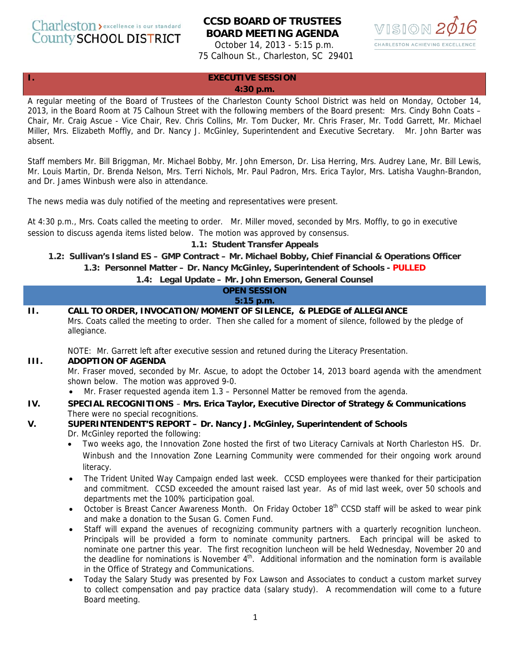Charleston > excellence is our standard **County SCHOOL DISTRICT** 

# **CCSD BOARD OF TRUSTEES BOARD MEETING AGENDA**

October 14, 2013 - 5:15 p.m. 75 Calhoun St., Charleston, SC 29401



#### **I. EXECUTIVE SESSION**

#### **4:30 p.m.**

A regular meeting of the Board of Trustees of the Charleston County School District was held on Monday, October 14, 2013, in the Board Room at 75 Calhoun Street with the following members of the Board present: Mrs. Cindy Bohn Coats – Chair, Mr. Craig Ascue - Vice Chair, Rev. Chris Collins, Mr. Tom Ducker, Mr. Chris Fraser, Mr. Todd Garrett, Mr. Michael Miller, Mrs. Elizabeth Moffly, and Dr. Nancy J. McGinley, Superintendent and Executive Secretary. Mr. John Barter was absent.

Staff members Mr. Bill Briggman, Mr. Michael Bobby, Mr. John Emerson, Dr. Lisa Herring, Mrs. Audrey Lane, Mr. Bill Lewis, Mr. Louis Martin, Dr. Brenda Nelson, Mrs. Terri Nichols, Mr. Paul Padron, Mrs. Erica Taylor, Mrs. Latisha Vaughn-Brandon, and Dr. James Winbush were also in attendance.

The news media was duly notified of the meeting and representatives were present.

At 4:30 p.m., Mrs. Coats called the meeting to order. Mr. Miller moved, seconded by Mrs. Moffly, to go in executive session to discuss agenda items listed below. The motion was approved by consensus.

#### **1.1: Student Transfer Appeals**

**1.2: Sullivan's Island ES – GMP Contract – Mr. Michael Bobby, Chief Financial & Operations Officer 1.3: Personnel Matter – Dr. Nancy McGinley, Superintendent of Schools - PULLED**

#### **1.4: Legal Update – Mr. John Emerson, General Counsel**

| <b>OPEN SESSION</b> |                                                                                                                                                                                                                                                                                                                                                                                                                                                                                                                                                                                                                                                                                                                                                    |  |  |
|---------------------|----------------------------------------------------------------------------------------------------------------------------------------------------------------------------------------------------------------------------------------------------------------------------------------------------------------------------------------------------------------------------------------------------------------------------------------------------------------------------------------------------------------------------------------------------------------------------------------------------------------------------------------------------------------------------------------------------------------------------------------------------|--|--|
| 5:15 p.m.           |                                                                                                                                                                                                                                                                                                                                                                                                                                                                                                                                                                                                                                                                                                                                                    |  |  |
| $\Pi$ .             | CALL TO ORDER, INVOCATION/MOMENT OF SILENCE, & PLEDGE of ALLEGIANCE<br>Mrs. Coats called the meeting to order. Then she called for a moment of silence, followed by the pledge of<br>allegiance.                                                                                                                                                                                                                                                                                                                                                                                                                                                                                                                                                   |  |  |
| III.                | NOTE: Mr. Garrett left after executive session and retuned during the Literacy Presentation.<br><b>ADOPTION OF AGENDA</b><br>Mr. Fraser moved, seconded by Mr. Ascue, to adopt the October 14, 2013 board agenda with the amendment<br>shown below. The motion was approved 9-0.<br>Mr. Fraser requested agenda item 1.3 - Personnel Matter be removed from the agenda.<br>$\bullet$                                                                                                                                                                                                                                                                                                                                                               |  |  |
| IV.                 | SPECIAL RECOGNITIONS - Mrs. Erica Taylor, Executive Director of Strategy & Communications                                                                                                                                                                                                                                                                                                                                                                                                                                                                                                                                                                                                                                                          |  |  |
|                     | There were no special recognitions.                                                                                                                                                                                                                                                                                                                                                                                                                                                                                                                                                                                                                                                                                                                |  |  |
| V.                  | SUPERINTENDENT'S REPORT - Dr. Nancy J. McGinley, Superintendent of Schools                                                                                                                                                                                                                                                                                                                                                                                                                                                                                                                                                                                                                                                                         |  |  |
|                     | Dr. McGinley reported the following:                                                                                                                                                                                                                                                                                                                                                                                                                                                                                                                                                                                                                                                                                                               |  |  |
|                     | Two weeks ago, the Innovation Zone hosted the first of two Literacy Carnivals at North Charleston HS. Dr.<br>$\bullet$<br>Winbush and the Innovation Zone Learning Community were commended for their ongoing work around<br>literacy.                                                                                                                                                                                                                                                                                                                                                                                                                                                                                                             |  |  |
|                     | The Trident United Way Campaign ended last week. CCSD employees were thanked for their participation<br>$\bullet$<br>and commitment. CCSD exceeded the amount raised last year. As of mid last week, over 50 schools and<br>departments met the 100% participation goal.                                                                                                                                                                                                                                                                                                                                                                                                                                                                           |  |  |
|                     | October is Breast Cancer Awareness Month. On Friday October 18 <sup>th</sup> CCSD staff will be asked to wear pink<br>$\bullet$<br>and make a donation to the Susan G. Comen Fund.                                                                                                                                                                                                                                                                                                                                                                                                                                                                                                                                                                 |  |  |
|                     | Staff will expand the avenues of recognizing community partners with a quarterly recognition luncheon.<br>$\bullet$<br>Principals will be provided a form to nominate community partners. Each principal will be asked to<br>nominate one partner this year. The first recognition luncheon will be held Wednesday, November 20 and<br>the deadline for nominations is November $4th$ . Additional information and the nomination form is available<br>in the Office of Strategy and Communications.<br>Today the Salary Study was presented by Fox Lawson and Associates to conduct a custom market survey<br>$\bullet$<br>to collect compensation and pay practice data (salary study). A recommendation will come to a future<br>Board meeting. |  |  |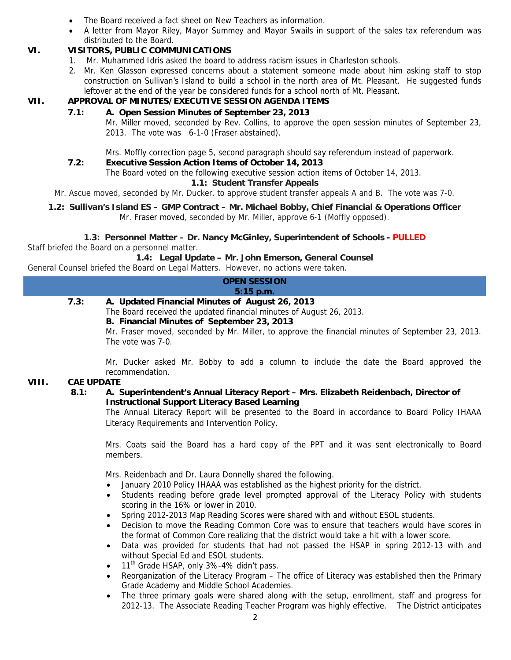- The Board received a fact sheet on New Teachers as information.
- A letter from Mayor Riley, Mayor Summey and Mayor Swails in support of the sales tax referendum was distributed to the Board.

# **VI. VISITORS, PUBLIC COMMUNICATIONS**

- 1. Mr. Muhammed Idris asked the board to address racism issues in Charleston schools.
- 2. Mr. Ken Glasson expressed concerns about a statement someone made about him asking staff to stop construction on Sullivan's Island to build a school in the north area of Mt. Pleasant. He suggested funds leftover at the end of the year be considered funds for a school north of Mt. Pleasant.

# **VII. APPROVAL OF MINUTES/EXECUTIVE SESSION AGENDA ITEMS**

## **7.1: A. Open Session Minutes of September 23, 2013**

Mr. Miller moved, seconded by Rev. Collins, to approve the open session minutes of September 23, 2013. The vote was 6-1-0 (Fraser abstained).

Mrs. Moffly correction page 5, second paragraph should say referendum instead of paperwork.

## **7.2: Executive Session Action Items of October 14, 2013**

The Board voted on the following executive session action items of October 14, 2013.

## **1.1: Student Transfer Appeals**

Mr. Ascue moved, seconded by Mr. Ducker, to approve student transfer appeals A and B. The vote was 7-0.

#### **1.2: Sullivan's Island ES – GMP Contract – Mr. Michael Bobby, Chief Financial & Operations Officer**  Mr. Fraser moved, seconded by Mr. Miller, approve 6-1 (Moffly opposed).

**1.3: Personnel Matter – Dr. Nancy McGinley, Superintendent of Schools - PULLED**

Staff briefed the Board on a personnel matter.

**1.4: Legal Update – Mr. John Emerson, General Counsel** 

General Counsel briefed the Board on Legal Matters. However, no actions were taken.

|      | <b>OPEN SESSION</b>                             |  |
|------|-------------------------------------------------|--|
|      | $\setminus$ 5:15 p.m.                           |  |
| 7.3: | A. Updated Financial Minutes of August 26, 2013 |  |

The Board received the updated financial minutes of August 26, 2013.

## **B. Financial Minutes of September 23, 2013**

Mr. Fraser moved, seconded by Mr. Miller, to approve the financial minutes of September 23, 2013. The vote was 7-0.

Mr. Ducker asked Mr. Bobby to add a column to include the date the Board approved the recommendation.

## **VIII. CAE UPDATE**

## **8.1: A. Superintendent's Annual Literacy Report – Mrs. Elizabeth Reidenbach, Director of Instructional Support Literacy Based Learning**

The Annual Literacy Report will be presented to the Board in accordance to Board Policy IHAAA Literacy Requirements and Intervention Policy.

Mrs. Coats said the Board has a hard copy of the PPT and it was sent electronically to Board members.

Mrs. Reidenbach and Dr. Laura Donnelly shared the following.

- January 2010 Policy IHAAA was established as the highest priority for the district.
- Students reading before grade level prompted approval of the Literacy Policy with students scoring in the 16% or lower in 2010.
- Spring 2012-2013 Map Reading Scores were shared with and without ESOL students.
- Decision to move the Reading Common Core was to ensure that teachers would have scores in the format of Common Core realizing that the district would take a hit with a lower score.
- Data was provided for students that had not passed the HSAP in spring 2012-13 with and without Special Ed and ESOL students.
- 11<sup>th</sup> Grade HSAP, only 3%-4% didn't pass.
- Reorganization of the Literacy Program The office of Literacy was established then the Primary Grade Academy and Middle School Academies.
- The three primary goals were shared along with the setup, enrollment, staff and progress for 2012-13. The Associate Reading Teacher Program was highly effective. The District anticipates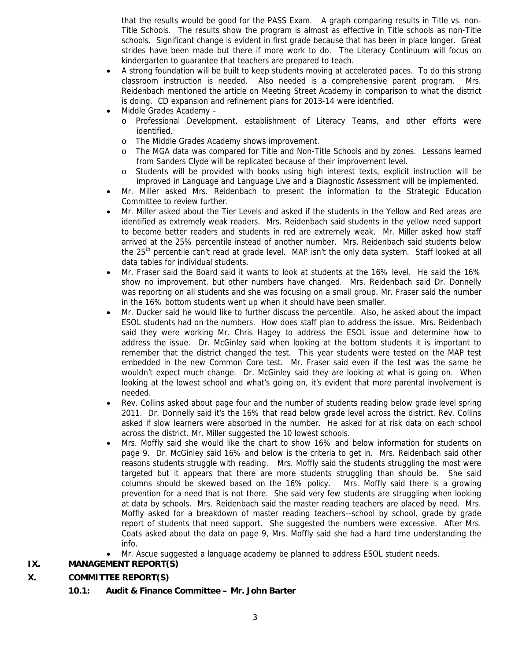that the results would be good for the PASS Exam. A graph comparing results in Title vs. non-Title Schools. The results show the program is almost as effective in Title schools as non-Title schools. Significant change is evident in first grade because that has been in place longer. Great strides have been made but there if more work to do. The Literacy Continuum will focus on kindergarten to guarantee that teachers are prepared to teach.

- A strong foundation will be built to keep students moving at accelerated paces. To do this strong classroom instruction is needed. Also needed is a comprehensive parent program. Mrs. Reidenbach mentioned the article on Meeting Street Academy in comparison to what the district is doing. CD expansion and refinement plans for 2013-14 were identified.
- Middle Grades Academy
	- o Professional Development, establishment of Literacy Teams, and other efforts were identified.
	- o The Middle Grades Academy shows improvement.
	- The MGA data was compared for Title and Non-Title Schools and by zones. Lessons learned from Sanders Clyde will be replicated because of their improvement level.
	- o Students will be provided with books using high interest texts, explicit instruction will be improved in Language and Language Live and a Diagnostic Assessment will be implemented.
- Mr. Miller asked Mrs. Reidenbach to present the information to the Strategic Education Committee to review further.
- Mr. Miller asked about the Tier Levels and asked if the students in the Yellow and Red areas are identified as extremely weak readers. Mrs. Reidenbach said students in the yellow need support to become better readers and students in red are extremely weak. Mr. Miller asked how staff arrived at the 25% percentile instead of another number. Mrs. Reidenbach said students below the 25<sup>th</sup> percentile can't read at grade level. MAP isn't the only data system. Staff looked at all data tables for individual students.
- Mr. Fraser said the Board said it wants to look at students at the 16% level. He said the 16% show no improvement, but other numbers have changed. Mrs. Reidenbach said Dr. Donnelly was reporting on all students and she was focusing on a small group. Mr. Fraser said the number in the 16% bottom students went up when it should have been smaller.
- Mr. Ducker said he would like to further discuss the percentile. Also, he asked about the impact ESOL students had on the numbers. How does staff plan to address the issue. Mrs. Reidenbach said they were working Mr. Chris Hagey to address the ESOL issue and determine how to address the issue. Dr. McGinley said when looking at the bottom students it is important to remember that the district changed the test. This year students were tested on the MAP test embedded in the new Common Core test. Mr. Fraser said even if the test was the same he wouldn't expect much change. Dr. McGinley said they are looking at what is going on. When looking at the lowest school and what's going on, it's evident that more parental involvement is needed.
- Rev. Collins asked about page four and the number of students reading below grade level spring 2011. Dr. Donnelly said it's the 16% that read below grade level across the district. Rev. Collins asked if slow learners were absorbed in the number. He asked for at risk data on each school across the district. Mr. Miller suggested the 10 lowest schools.
- Mrs. Moffly said she would like the chart to show 16% and below information for students on page 9. Dr. McGinley said 16% and below is the criteria to get in. Mrs. Reidenbach said other reasons students struggle with reading. Mrs. Moffly said the students struggling the most were targeted but it appears that there are more students struggling than should be. She said columns should be skewed based on the 16% policy. Mrs. Moffly said there is a growing prevention for a need that is not there. She said very few students are struggling when looking at data by schools. Mrs. Reidenbach said the master reading teachers are placed by need. Mrs. Moffly asked for a breakdown of master reading teachers--school by school, grade by grade report of students that need support. She suggested the numbers were excessive. After Mrs. Coats asked about the data on page 9, Mrs. Moffly said she had a hard time understanding the info.
- Mr. Ascue suggested a language academy be planned to address ESOL student needs.

# **IX. MANAGEMENT REPORT(S)**

# **X. COMMITTEE REPORT(S)**

**10.1: Audit & Finance Committee – Mr. John Barter**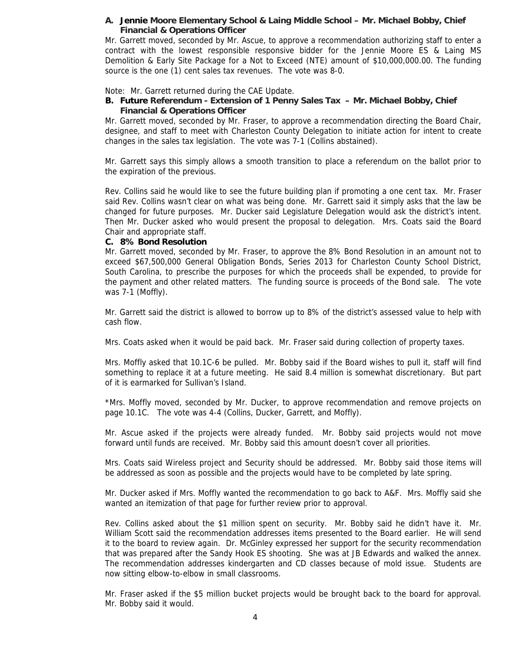#### **A. Jennie Moore Elementary School & Laing Middle School – Mr. Michael Bobby, Chief Financial & Operations Officer**

Mr. Garrett moved, seconded by Mr. Ascue, to approve a recommendation authorizing staff to enter a contract with the lowest responsible responsive bidder for the Jennie Moore ES & Laing MS Demolition & Early Site Package for a Not to Exceed (NTE) amount of \$10,000,000.00. The funding source is the one (1) cent sales tax revenues. The vote was 8-0.

Note: Mr. Garrett returned during the CAE Update.

#### **B. Future Referendum - Extension of 1 Penny Sales Tax – Mr. Michael Bobby, Chief Financial & Operations Officer**

Mr. Garrett moved, seconded by Mr. Fraser, to approve a recommendation directing the Board Chair, designee, and staff to meet with Charleston County Delegation to initiate action for intent to create changes in the sales tax legislation. The vote was 7-1 (Collins abstained).

Mr. Garrett says this simply allows a smooth transition to place a referendum on the ballot prior to the expiration of the previous.

Rev. Collins said he would like to see the future building plan if promoting a one cent tax. Mr. Fraser said Rev. Collins wasn't clear on what was being done. Mr. Garrett said it simply asks that the law be changed for future purposes. Mr. Ducker said Legislature Delegation would ask the district's intent. Then Mr. Ducker asked who would present the proposal to delegation. Mrs. Coats said the Board Chair and appropriate staff.

#### **C. 8% Bond Resolution**

Mr. Garrett moved, seconded by Mr. Fraser, to approve the 8% Bond Resolution in an amount not to exceed \$67,500,000 General Obligation Bonds, Series 2013 for Charleston County School District, South Carolina, to prescribe the purposes for which the proceeds shall be expended, to provide for the payment and other related matters. The funding source is proceeds of the Bond sale. The vote was 7-1 (Moffly).

Mr. Garrett said the district is allowed to borrow up to 8% of the district's assessed value to help with cash flow.

Mrs. Coats asked when it would be paid back. Mr. Fraser said during collection of property taxes.

Mrs. Moffly asked that 10.1C-6 be pulled. Mr. Bobby said if the Board wishes to pull it, staff will find something to replace it at a future meeting. He said 8.4 million is somewhat discretionary. But part of it is earmarked for Sullivan's Island.

\*Mrs. Moffly moved, seconded by Mr. Ducker, to approve recommendation and remove projects on page 10.1C. The vote was 4-4 (Collins, Ducker, Garrett, and Moffly).

Mr. Ascue asked if the projects were already funded. Mr. Bobby said projects would not move forward until funds are received. Mr. Bobby said this amount doesn't cover all priorities.

Mrs. Coats said Wireless project and Security should be addressed. Mr. Bobby said those items will be addressed as soon as possible and the projects would have to be completed by late spring.

Mr. Ducker asked if Mrs. Moffly wanted the recommendation to go back to A&F. Mrs. Moffly said she wanted an itemization of that page for further review prior to approval.

Rev. Collins asked about the \$1 million spent on security. Mr. Bobby said he didn't have it. Mr. William Scott said the recommendation addresses items presented to the Board earlier. He will send it to the board to review again. Dr. McGinley expressed her support for the security recommendation that was prepared after the Sandy Hook ES shooting. She was at JB Edwards and walked the annex. The recommendation addresses kindergarten and CD classes because of mold issue. Students are now sitting elbow-to-elbow in small classrooms.

Mr. Fraser asked if the \$5 million bucket projects would be brought back to the board for approval. Mr. Bobby said it would.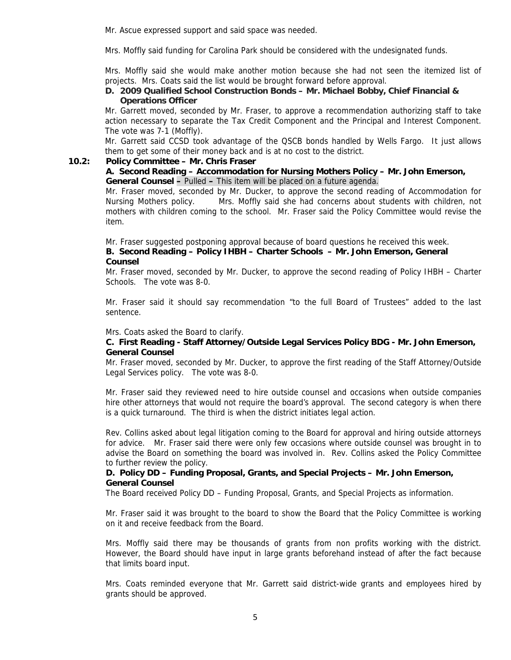Mr. Ascue expressed support and said space was needed.

Mrs. Moffly said funding for Carolina Park should be considered with the undesignated funds.

Mrs. Moffly said she would make another motion because she had not seen the itemized list of projects. Mrs. Coats said the list would be brought forward before approval.

#### **D. 2009 Qualified School Construction Bonds – Mr. Michael Bobby, Chief Financial & Operations Officer**

Mr. Garrett moved, seconded by Mr. Fraser, to approve a recommendation authorizing staff to take action necessary to separate the Tax Credit Component and the Principal and Interest Component. The vote was 7-1 (Moffly).

Mr. Garrett said CCSD took advantage of the QSCB bonds handled by Wells Fargo. It just allows them to get some of their money back and is at no cost to the district.

#### **10.2: Policy Committee – Mr. Chris Fraser**

#### **A. Second Reading – Accommodation for Nursing Mothers Policy – Mr. John Emerson, General Counsel –** Pulled **–** This item will be placed on a future agenda.

Mr. Fraser moved, seconded by Mr. Ducker, to approve the second reading of Accommodation for Nursing Mothers policy. Mrs. Moffly said she had concerns about students with children, not mothers with children coming to the school. Mr. Fraser said the Policy Committee would revise the item.

Mr. Fraser suggested postponing approval because of board questions he received this week.

## **B. Second Reading – Policy IHBH – Charter Schools – Mr. John Emerson, General Counsel**

Mr. Fraser moved, seconded by Mr. Ducker, to approve the second reading of Policy IHBH – Charter Schools. The vote was 8-0.

Mr. Fraser said it should say recommendation "to the full Board of Trustees" added to the last sentence.

#### Mrs. Coats asked the Board to clarify.

#### **C. First Reading - Staff Attorney/Outside Legal Services Policy BDG - Mr. John Emerson, General Counsel**

Mr. Fraser moved, seconded by Mr. Ducker, to approve the first reading of the Staff Attorney/Outside Legal Services policy. The vote was 8-0.

Mr. Fraser said they reviewed need to hire outside counsel and occasions when outside companies hire other attorneys that would not require the board's approval. The second category is when there is a quick turnaround. The third is when the district initiates legal action.

Rev. Collins asked about legal litigation coming to the Board for approval and hiring outside attorneys for advice. Mr. Fraser said there were only few occasions where outside counsel was brought in to advise the Board on something the board was involved in. Rev. Collins asked the Policy Committee to further review the policy.

## **D. Policy DD – Funding Proposal, Grants, and Special Projects – Mr. John Emerson, General Counsel**

The Board received Policy DD – Funding Proposal, Grants, and Special Projects as information.

Mr. Fraser said it was brought to the board to show the Board that the Policy Committee is working on it and receive feedback from the Board.

Mrs. Moffly said there may be thousands of grants from non profits working with the district. However, the Board should have input in large grants beforehand instead of after the fact because that limits board input.

Mrs. Coats reminded everyone that Mr. Garrett said district-wide grants and employees hired by grants should be approved.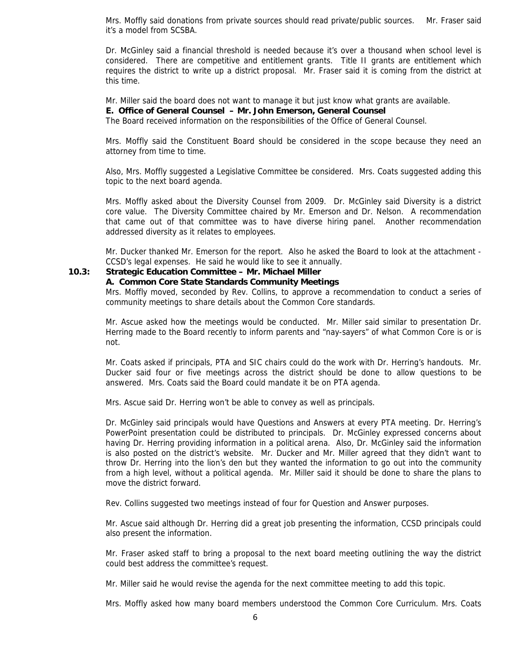Mrs. Moffly said donations from private sources should read private/public sources. Mr. Fraser said it's a model from SCSBA.

Dr. McGinley said a financial threshold is needed because it's over a thousand when school level is considered. There are competitive and entitlement grants. Title II grants are entitlement which requires the district to write up a district proposal. Mr. Fraser said it is coming from the district at this time.

Mr. Miller said the board does not want to manage it but just know what grants are available.

### **E. Office of General Counsel – Mr. John Emerson, General Counsel**

The Board received information on the responsibilities of the Office of General Counsel.

Mrs. Moffly said the Constituent Board should be considered in the scope because they need an attorney from time to time.

Also, Mrs. Moffly suggested a Legislative Committee be considered. Mrs. Coats suggested adding this topic to the next board agenda.

Mrs. Moffly asked about the Diversity Counsel from 2009. Dr. McGinley said Diversity is a district core value. The Diversity Committee chaired by Mr. Emerson and Dr. Nelson. A recommendation that came out of that committee was to have diverse hiring panel. Another recommendation addressed diversity as it relates to employees.

Mr. Ducker thanked Mr. Emerson for the report. Also he asked the Board to look at the attachment - CCSD's legal expenses. He said he would like to see it annually.

## **10.3: Strategic Education Committee – Mr. Michael Miller**

#### **A. Common Core State Standards Community Meetings**

Mrs. Moffly moved, seconded by Rev. Collins, to approve a recommendation to conduct a series of community meetings to share details about the Common Core standards.

Mr. Ascue asked how the meetings would be conducted. Mr. Miller said similar to presentation Dr. Herring made to the Board recently to inform parents and "nay-sayers" of what Common Core is or is not.

Mr. Coats asked if principals, PTA and SIC chairs could do the work with Dr. Herring's handouts. Mr. Ducker said four or five meetings across the district should be done to allow questions to be answered. Mrs. Coats said the Board could mandate it be on PTA agenda.

Mrs. Ascue said Dr. Herring won't be able to convey as well as principals.

Dr. McGinley said principals would have Questions and Answers at every PTA meeting. Dr. Herring's PowerPoint presentation could be distributed to principals. Dr. McGinley expressed concerns about having Dr. Herring providing information in a political arena. Also, Dr. McGinley said the information is also posted on the district's website. Mr. Ducker and Mr. Miller agreed that they didn't want to throw Dr. Herring into the lion's den but they wanted the information to go out into the community from a high level, without a political agenda. Mr. Miller said it should be done to share the plans to move the district forward.

Rev. Collins suggested two meetings instead of four for Question and Answer purposes.

Mr. Ascue said although Dr. Herring did a great job presenting the information, CCSD principals could also present the information.

Mr. Fraser asked staff to bring a proposal to the next board meeting outlining the way the district could best address the committee's request.

Mr. Miller said he would revise the agenda for the next committee meeting to add this topic.

Mrs. Moffly asked how many board members understood the Common Core Curriculum. Mrs. Coats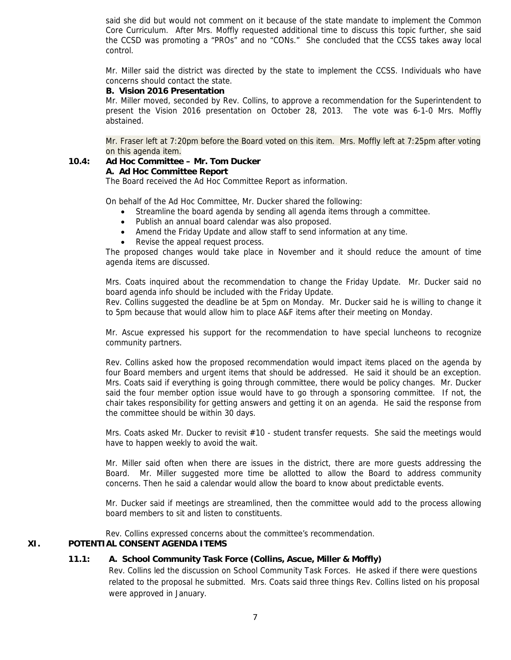said she did but would not comment on it because of the state mandate to implement the Common Core Curriculum. After Mrs. Moffly requested additional time to discuss this topic further, she said the CCSD was promoting a "PROs" and no "CONs." She concluded that the CCSS takes away local control.

Mr. Miller said the district was directed by the state to implement the CCSS. Individuals who have concerns should contact the state.

#### **B. Vision 2016 Presentation**

Mr. Miller moved, seconded by Rev. Collins, to approve a recommendation for the Superintendent to present the Vision 2016 presentation on October 28, 2013. The vote was 6-1-0 Mrs. Moffly abstained.

Mr. Fraser left at 7:20pm before the Board voted on this item. Mrs. Moffly left at 7:25pm after voting on this agenda item.

# **10.4: Ad Hoc Committee – Mr. Tom Ducker**

## **A. Ad Hoc Committee Report**

The Board received the Ad Hoc Committee Report as information.

On behalf of the Ad Hoc Committee, Mr. Ducker shared the following:

- Streamline the board agenda by sending all agenda items through a committee.
- Publish an annual board calendar was also proposed.
- Amend the Friday Update and allow staff to send information at any time.
- Revise the appeal request process.

The proposed changes would take place in November and it should reduce the amount of time agenda items are discussed.

Mrs. Coats inquired about the recommendation to change the Friday Update. Mr. Ducker said no board agenda info should be included with the Friday Update.

Rev. Collins suggested the deadline be at 5pm on Monday. Mr. Ducker said he is willing to change it to 5pm because that would allow him to place A&F items after their meeting on Monday.

Mr. Ascue expressed his support for the recommendation to have special luncheons to recognize community partners.

Rev. Collins asked how the proposed recommendation would impact items placed on the agenda by four Board members and urgent items that should be addressed. He said it should be an exception. Mrs. Coats said if everything is going through committee, there would be policy changes. Mr. Ducker said the four member option issue would have to go through a sponsoring committee. If not, the chair takes responsibility for getting answers and getting it on an agenda. He said the response from the committee should be within 30 days.

Mrs. Coats asked Mr. Ducker to revisit #10 - student transfer requests. She said the meetings would have to happen weekly to avoid the wait.

Mr. Miller said often when there are issues in the district, there are more guests addressing the Board. Mr. Miller suggested more time be allotted to allow the Board to address community concerns. Then he said a calendar would allow the board to know about predictable events.

Mr. Ducker said if meetings are streamlined, then the committee would add to the process allowing board members to sit and listen to constituents.

Rev. Collins expressed concerns about the committee's recommendation.

# **XI. POTENTIAL CONSENT AGENDA ITEMS**

## **11.1: A. School Community Task Force (Collins, Ascue, Miller & Moffly)**

Rev. Collins led the discussion on School Community Task Forces. He asked if there were questions related to the proposal he submitted. Mrs. Coats said three things Rev. Collins listed on his proposal were approved in January.